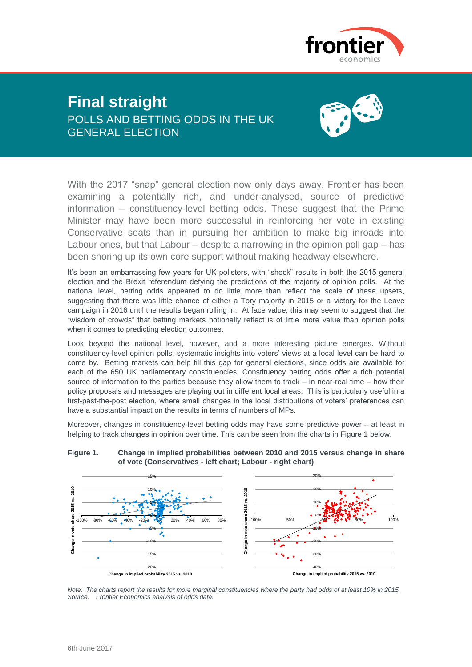

# **Final straight** POLLS AND BETTING ODDS IN THE UK GENERAL ELECTION



With the 2017 "snap" general election now only days away, Frontier has been examining a potentially rich, and under-analysed, source of predictive information – constituency-level betting odds. These suggest that the Prime Minister may have been more successful in reinforcing her vote in existing Conservative seats than in pursuing her ambition to make big inroads into Labour ones, but that Labour – despite a narrowing in the opinion poll gap – has been shoring up its own core support without making headway elsewhere.

It's been an embarrassing few years for UK pollsters, with "shock" results in both the 2015 general election and the Brexit referendum defying the predictions of the majority of opinion polls. At the national level, betting odds appeared to do little more than reflect the scale of these upsets, suggesting that there was little chance of either a Tory majority in 2015 or a victory for the Leave campaign in 2016 until the results began rolling in. At face value, this may seem to suggest that the "wisdom of crowds" that betting markets notionally reflect is of little more value than opinion polls when it comes to predicting election outcomes.

Look beyond the national level, however, and a more interesting picture emerges. Without constituency-level opinion polls, systematic insights into voters' views at a local level can be hard to come by. Betting markets can help fill this gap for general elections, since odds are available for each of the 650 UK parliamentary constituencies. Constituency betting odds offer a rich potential source of information to the parties because they allow them to track – in near-real time – how their policy proposals and messages are playing out in different local areas. This is particularly useful in a first-past-the-post election, where small changes in the local distributions of voters' preferences can have a substantial impact on the results in terms of numbers of MPs.

Moreover, changes in constituency-level betting odds may have some predictive power – at least in helping to track changes in opinion over time. This can be seen from the charts in Figure 1 below.



**Figure 1. Change in implied probabilities between 2010 and 2015 versus change in share of vote (Conservatives - left chart; Labour - right chart)**

*Note: The charts report the results for more marginal constituencies where the party had odds of at least 10% in 2015. Source: Frontier Economics analysis of odds data.*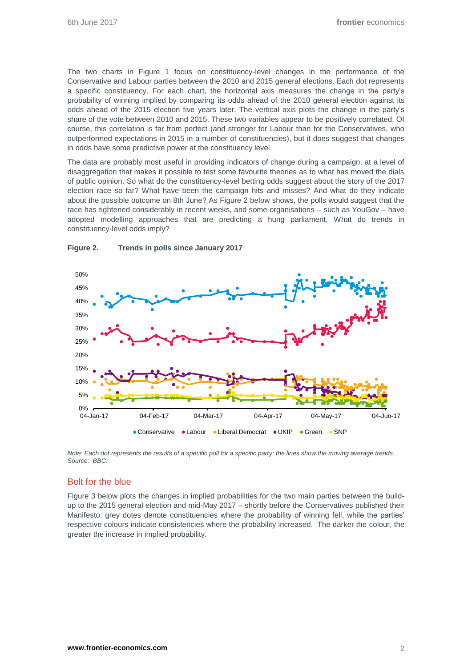The two charts in Figure 1 focus on constituency-level changes in the performance of the Conservative and Labour parties between the 2010 and 2015 general elections. Each dot represents a specific constituency. For each chart, the horizontal axis measures the change in the party's probability of winning implied by comparing its odds ahead of the 2010 general election against its odds ahead of the 2015 election five years later. The vertical axis plots the change in the party's share of the vote between 2010 and 2015. These two variables appear to be positively correlated. Of course, this correlation is far from perfect (and stronger for Labour than for the Conservatives, who outperformed expectations in 2015 in a number of constituencies), but it does suggest that changes in odds have some predictive power at the constituency level.

The data are probably most useful in providing indicators of change during a campaign, at a level of disaggregation that makes it possible to test some favourite theories as to what has moved the dials of public opinion. So what do the constituency-level betting odds suggest about the story of the 2017 election race so far? What have been the campaign hits and misses? And what do they indicate about the possible outcome on 8th June? As Figure 2 below shows, the polls would suggest that the race has tightened considerably in recent weeks, and some organisations – such as YouGov – have adopted modelling approaches that are predicting a hung parliament. What do trends in constituency-level odds imply?



## **Figure 2. Trends in polls since January 2017**

*Note: Each dot represents the results of a specific poll for a specific party; the lines show the moving average trends. Source: BBC.*

# Bolt for the blue

Figure 3 below plots the changes in implied probabilities for the two main parties between the buildup to the 2015 general election and mid-May 2017 – shortly before the Conservatives published their Manifesto: grey dotes denote constituencies where the probability of winning fell, while the parties' respective colours indicate consistencies where the probability increased. The darker the colour, the greater the increase in implied probability.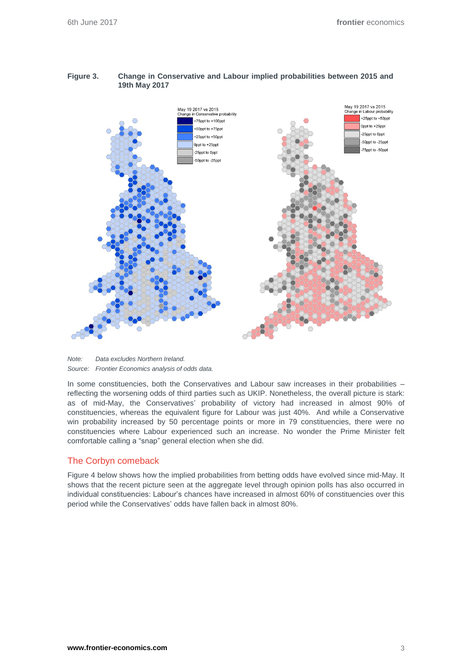## **Figure 3. Change in Conservative and Labour implied probabilities between 2015 and 19th May 2017**



*Note: Data excludes Northern Ireland. Source: Frontier Economics analysis of odds data.*

In some constituencies, both the Conservatives and Labour saw increases in their probabilities – reflecting the worsening odds of third parties such as UKIP. Nonetheless, the overall picture is stark: as of mid-May, the Conservatives' probability of victory had increased in almost 90% of constituencies, whereas the equivalent figure for Labour was just 40%. And while a Conservative win probability increased by 50 percentage points or more in 79 constituencies, there were no constituencies where Labour experienced such an increase. No wonder the Prime Minister felt comfortable calling a "snap" general election when she did.

## The Corbyn comeback

Figure 4 below shows how the implied probabilities from betting odds have evolved since mid-May. It shows that the recent picture seen at the aggregate level through opinion polls has also occurred in individual constituencies: Labour's chances have increased in almost 60% of constituencies over this period while the Conservatives' odds have fallen back in almost 80%.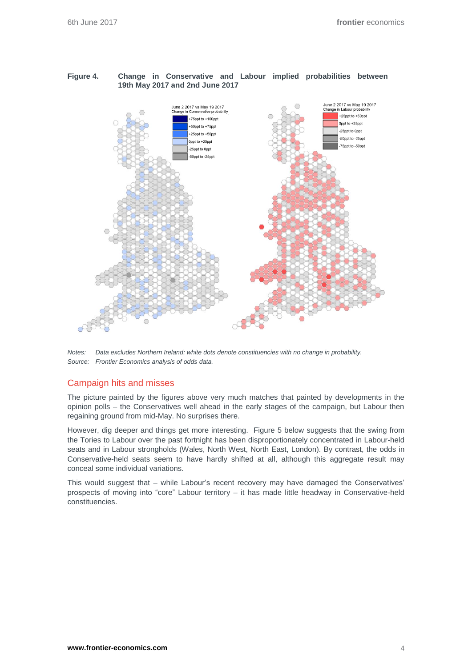## **Figure 4. Change in Conservative and Labour implied probabilities between 19th May 2017 and 2nd June 2017**



*Notes: Data excludes Northern Ireland; white dots denote constituencies with no change in probability. Source: Frontier Economics analysis of odds data.*

# Campaign hits and misses

The picture painted by the figures above very much matches that painted by developments in the opinion polls – the Conservatives well ahead in the early stages of the campaign, but Labour then regaining ground from mid-May. No surprises there.

However, dig deeper and things get more interesting. Figure 5 below suggests that the swing from the Tories to Labour over the past fortnight has been disproportionately concentrated in Labour-held seats and in Labour strongholds (Wales, North West, North East, London). By contrast, the odds in Conservative-held seats seem to have hardly shifted at all, although this aggregate result may conceal some individual variations.

This would suggest that – while Labour's recent recovery may have damaged the Conservatives' prospects of moving into "core" Labour territory – it has made little headway in Conservative-held constituencies.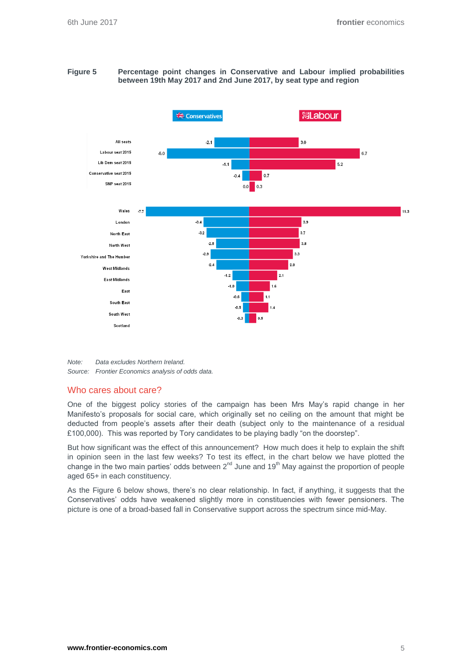#### **Figure 5 Percentage point changes in Conservative and Labour implied probabilities between 19th May 2017 and 2nd June 2017, by seat type and region**



*Note: Data excludes Northern Ireland. Source: Frontier Economics analysis of odds data.*

## Who cares about care?

One of the biggest policy stories of the campaign has been Mrs May's rapid change in her Manifesto's proposals for social care, which originally set no ceiling on the amount that might be deducted from people's assets after their death (subject only to the maintenance of a residual £100,000). This was reported by Tory candidates to be playing badly "on the doorstep".

But how significant was the effect of this announcement? How much does it help to explain the shift in opinion seen in the last few weeks? To test its effect, in the chart below we have plotted the change in the two main parties' odds between  $2^{nd}$  June and 19<sup>th</sup> May against the proportion of people aged 65+ in each constituency.

As the Figure 6 below shows, there's no clear relationship. In fact, if anything, it suggests that the Conservatives' odds have weakened slightly more in constituencies with fewer pensioners. The picture is one of a broad-based fall in Conservative support across the spectrum since mid-May.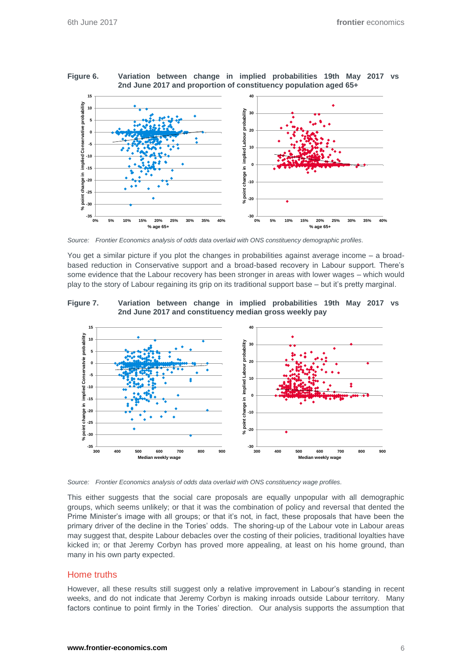

**Figure 6. Variation between change in implied probabilities 19th May 2017 vs 2nd June 2017 and proportion of constituency population aged 65+**

*Source: Frontier Economics analysis of odds data overlaid with ONS constituency demographic profiles.*

You get a similar picture if you plot the changes in probabilities against average income – a broadbased reduction in Conservative support and a broad-based recovery in Labour support. There's some evidence that the Labour recovery has been stronger in areas with lower wages – which would play to the story of Labour regaining its grip on its traditional support base – but it's pretty marginal.

**Figure 7. Variation between change in implied probabilities 19th May 2017 vs 2nd June 2017 and constituency median gross weekly pay**



*Source: Frontier Economics analysis of odds data overlaid with ONS constituency wage profiles.*

This either suggests that the social care proposals are equally unpopular with all demographic groups, which seems unlikely; or that it was the combination of policy and reversal that dented the Prime Minister's image with all groups; or that it's not, in fact, these proposals that have been the primary driver of the decline in the Tories' odds. The shoring-up of the Labour vote in Labour areas may suggest that, despite Labour debacles over the costing of their policies, traditional loyalties have kicked in; or that Jeremy Corbyn has proved more appealing, at least on his home ground, than many in his own party expected.

## Home truths

However, all these results still suggest only a relative improvement in Labour's standing in recent weeks, and do not indicate that Jeremy Corbyn is making inroads outside Labour territory. Many factors continue to point firmly in the Tories' direction. Our analysis supports the assumption that